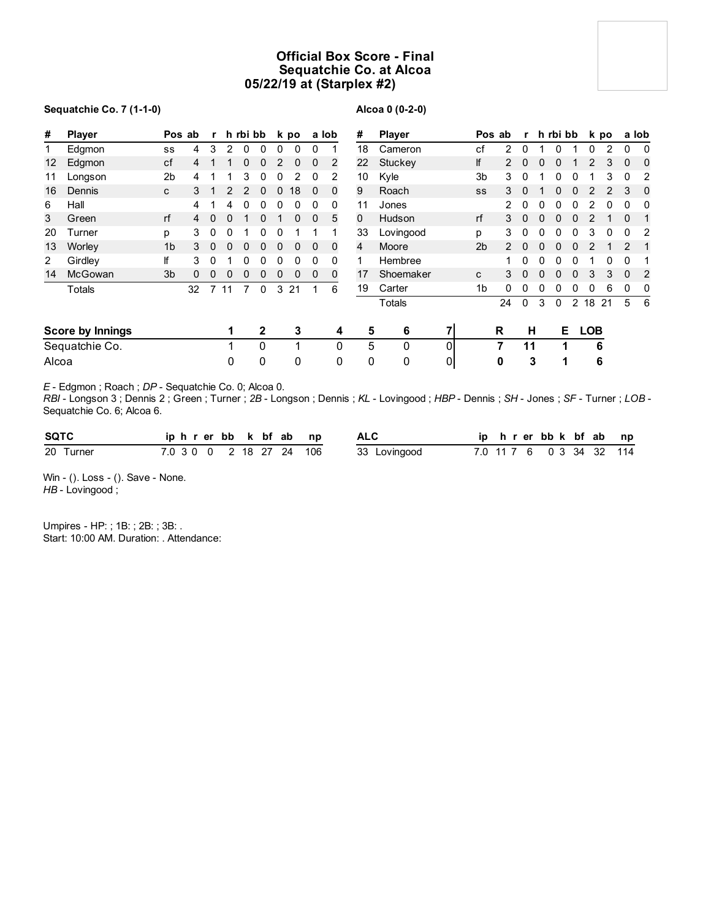## **Official Box Score - Final Sequatchie Co. at Alcoa 05/22/19 at (Starplex #2)**

### **Sequatchie Co. 7 (1-1-0)**

## **Alcoa 0 (0-2-0)**

| #     | <b>Player</b>           |                | Pos ab | $\mathbf{r}$   |                | h rbi bb |          |             | k po         |              | a lob    | #              | <b>Player</b> |                |                | Pos ab        |              | r h rbi bb |          |                |            | k po |               | a lob          |
|-------|-------------------------|----------------|--------|----------------|----------------|----------|----------|-------------|--------------|--------------|----------|----------------|---------------|----------------|----------------|---------------|--------------|------------|----------|----------------|------------|------|---------------|----------------|
| 1     | Edgmon                  | SS             | 4      | 3              | $\overline{2}$ | 0        | 0        | $\Omega$    | $\Omega$     | $\Omega$     |          | 18             | Cameron       |                | сf             | 2             | $\Omega$     |            | 0        |                | 0          | 2    | $\Omega$      | 0              |
| 12    | Edgmon                  | cf             |        |                |                | 0        | 0        | 2           | 0            | $\Omega$     | 2        | 22             | Stuckey       |                | lf             |               | $\Omega$     |            | 0        |                | 2          | 3    | $\Omega$      | $\Omega$       |
| 11    | Longson                 | 2 <sub>b</sub> | 4      |                |                | 3        | 0        | 0           | 2            | 0            | 2        | 10             | Kyle          |                | 3 <sub>b</sub> | 3             | 0            |            |          |                |            | 3    | $\Omega$      | 2              |
| 16    | Dennis                  | C              | 3      |                | 2              | 2        | 0        | $\mathbf 0$ | 18           | $\mathbf 0$  | 0        | 9              | Roach         |                | SS             | 3             | $\Omega$     |            | 0        | 0              |            |      | 3             | 0              |
| 6     | Hall                    |                |        |                | 4              | 0        | 0        | 0           | 0            | 0            | 0        | 11             | Jones         |                |                | $\mathcal{P}$ | 0            | O          |          |                | 2          | 0    | 0             | 0              |
| 3     | Green                   | rf             | 4      | $\Omega$       | $\mathbf{0}$   | 1        | 0        |             | $\mathbf{0}$ | $\mathbf{0}$ | 5        | $\mathbf{0}$   | Hudson        |                | rf             | 3             | $\mathbf{0}$ | $\Omega$   | $\bf{0}$ | 0              | 2          |      | $\Omega$      | $\mathbf{1}$   |
| 20    | Turner                  | p              | 3      | 0              | 0              |          | 0        | 0           |              |              |          | 33             | Lovingood     |                | p              | 3             | 0            | 0          | 0        | 0              | 3          | 0    | 0             | 2              |
| 13    | Worley                  | 1 <sub>b</sub> | 3      | 0              | 0              | 0        | 0        | $\Omega$    | $\Omega$     | $\Omega$     | $\Omega$ | $\overline{4}$ | Moore         |                | 2 <sub>b</sub> | 2             | $\Omega$     |            |          |                |            |      | $\mathcal{P}$ |                |
| 2     | Girdley                 | lf             | 3      | 0              |                | 0        | 0        | 0           | 0            | 0            | 0        |                | Hembree       |                |                |               | 0            | 0          | 0        | 0              |            | 0    | $\Omega$      |                |
| 14    | McGowan                 | 3 <sub>b</sub> | 0      | $\mathbf{0}$   | 0              | 0        | 0        | 0           | 0            | 0            | 0        | 17             | Shoemaker     |                | C              | 3             | $\Omega$     | 0          | $\Omega$ | 0              | 3          | 3    | 0             | $\overline{2}$ |
|       | Totals                  |                | 32     | $\overline{7}$ | 11             | 7        | $\Omega$ | 3           | 21           | 1            | 6        | 19             | Carter        |                | 1b             | 0             | 0            |            |          | 0              | 0          | 6    | 0             | 0              |
|       |                         |                |        |                |                |          |          |             |              |              |          |                | Totals        |                |                | 24            | $\mathbf{0}$ | 3          | $\Omega$ | $\overline{2}$ | 18         | 21   | 5             | - 6            |
|       | <b>Score by Innings</b> |                |        |                |                |          | 2        |             | 3            |              | 4        | 5              | 6             | 71             |                | R             | н            |            | E.       |                | <b>LOB</b> |      |               |                |
|       | Sequatchie Co.          |                |        |                |                |          | 0        |             |              |              | 0        | 5              | 0             | $\overline{0}$ |                | 7             | 11           |            | 1        |                | 6          |      |               |                |
| Alcoa |                         |                |        |                | 0              |          | 0        |             | 0            |              | 0        | 0              | 0             | $\overline{0}$ |                | 0             |              | 3          | 1        |                | 6          |      |               |                |

*E* - Edgmon ; Roach ; *DP* - Sequatchie Co. 0; Alcoa 0.

*RBI* - Longson 3 ; Dennis 2 ; Green ; Turner ; *2B* - Longson ; Dennis ; *KL* - Lovingood ; *HBP* - Dennis ; *SH* - Jones ; *SF* - Turner ; *LOB* - Sequatchie Co. 6; Alcoa 6.

| <b>SQTC</b> |  |  |  | iphrerbb k bfab np       |              |  |  | ip hrerbbk bfab np       |  |  |
|-------------|--|--|--|--------------------------|--------------|--|--|--------------------------|--|--|
| 20 Turner   |  |  |  | 7.0 3 0 0 2 18 27 24 106 | 33 Lovingood |  |  | 7.0 11 7 6 0 3 34 32 114 |  |  |

Win - (). Loss - (). Save - None. *HB* - Lovingood ;

Umpires - HP: ; 1B: ; 2B: ; 3B: . Start: 10:00 AM. Duration: . Attendance: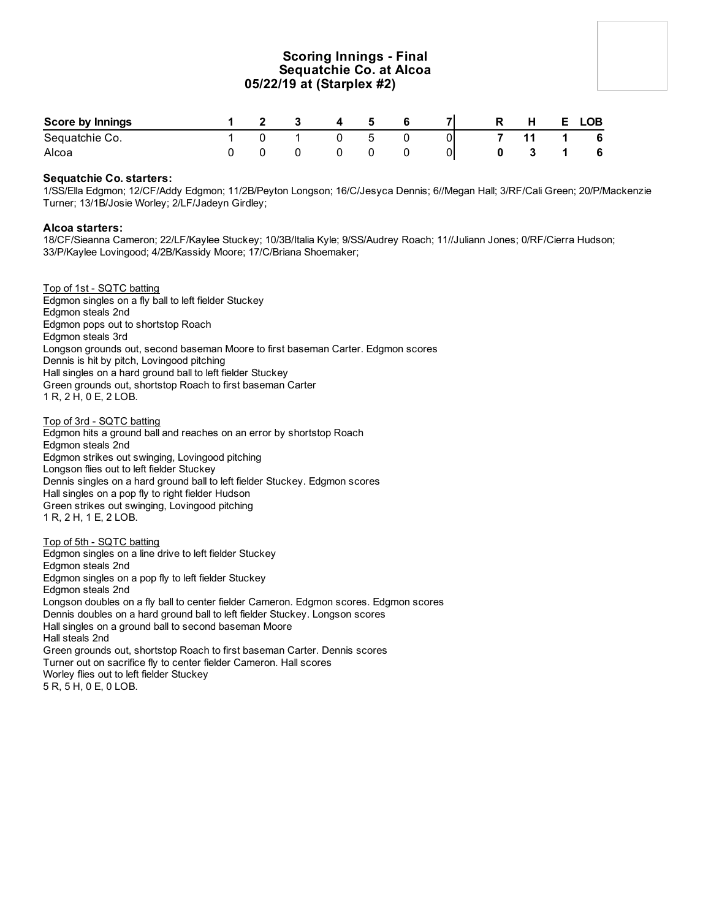## **Scoring Innings - Final Sequatchie Co. at Alcoa 05/22/19 at (Starplex #2)**

| Score by Innings |  | $\overline{\mathbf{3}}$ | $\overline{4}$ | 5  |  | <b>R</b> | H   |              | E LOB |
|------------------|--|-------------------------|----------------|----|--|----------|-----|--------------|-------|
| Sequatchie Co.   |  |                         |                | -5 |  |          |     | $11 \quad 1$ | 6     |
| Alcoa            |  |                         |                |    |  | $\bf{0}$ | 3 1 |              | 6     |

### **Sequatchie Co. starters:**

1/SS/Ella Edgmon; 12/CF/Addy Edgmon; 11/2B/Peyton Longson; 16/C/Jesyca Dennis; 6//Megan Hall; 3/RF/Cali Green; 20/P/Mackenzie Turner; 13/1B/Josie Worley; 2/LF/Jadeyn Girdley;

### **Alcoa starters:**

18/CF/Sieanna Cameron; 22/LF/Kaylee Stuckey; 10/3B/Italia Kyle; 9/SS/Audrey Roach; 11//Juliann Jones; 0/RF/Cierra Hudson; 33/P/Kaylee Lovingood; 4/2B/Kassidy Moore; 17/C/Briana Shoemaker;

#### Top of 1st - SQTC batting

Edgmon singles on a fly ball to left fielder Stuckey Edgmon steals 2nd Edgmon pops out to shortstop Roach Edgmon steals 3rd Longson grounds out, second baseman Moore to first baseman Carter. Edgmon scores Dennis is hit by pitch, Lovingood pitching Hall singles on a hard ground ball to left fielder Stuckey Green grounds out, shortstop Roach to first baseman Carter 1 R, 2 H, 0 E, 2 LOB.

#### Top of 3rd - SQTC batting

Edgmon hits a ground ball and reaches on an error by shortstop Roach Edgmon steals 2nd Edgmon strikes out swinging, Lovingood pitching Longson flies out to left fielder Stuckey Dennis singles on a hard ground ball to left fielder Stuckey. Edgmon scores Hall singles on a pop fly to right fielder Hudson Green strikes out swinging, Lovingood pitching 1 R, 2 H, 1 E, 2 LOB.

Top of 5th - SQTC batting Edgmon singles on a line drive to left fielder Stuckey Edgmon steals 2nd Edgmon singles on a pop fly to left fielder Stuckey Edgmon steals 2nd Longson doubles on a fly ball to center fielder Cameron. Edgmon scores. Edgmon scores Dennis doubles on a hard ground ball to left fielder Stuckey. Longson scores Hall singles on a ground ball to second baseman Moore Hall steals 2nd Green grounds out, shortstop Roach to first baseman Carter. Dennis scores Turner out on sacrifice fly to center fielder Cameron. Hall scores Worley flies out to left fielder Stuckey

5 R, 5 H, 0 E, 0 LOB.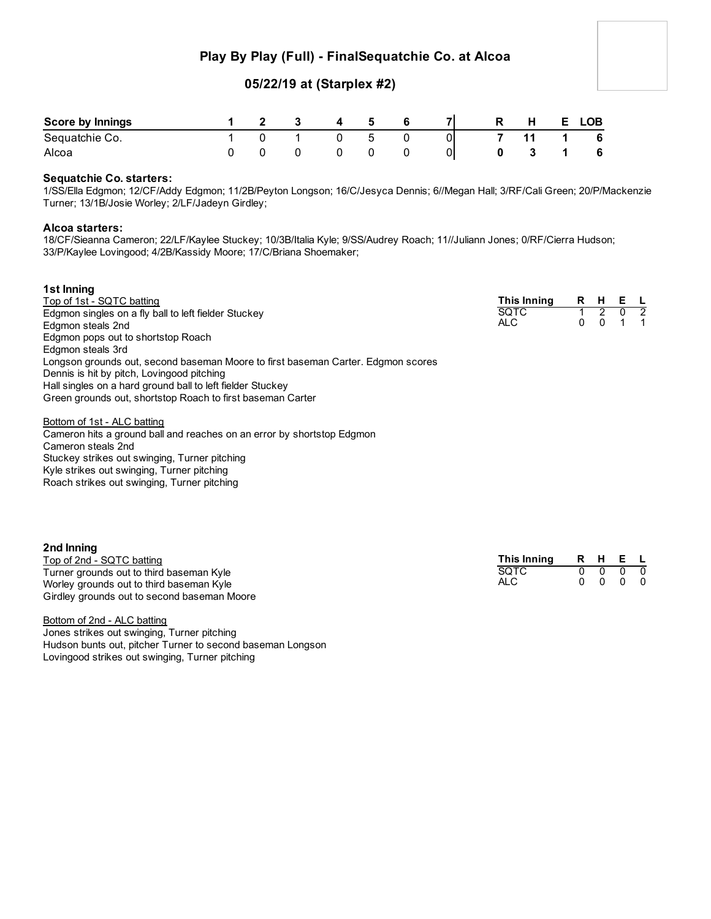# **Play By Play (Full) - FinalSequatchie Co. at Alcoa**

## **05/22/19 at (Starplex #2)**

| Score by Innings |  |  | -5 |    | R | <b>H</b> | LOB. |
|------------------|--|--|----|----|---|----------|------|
| Sequatchie Co.   |  |  | ᄃ  | 01 |   |          | - 6  |
| Alcoa            |  |  |    | 01 |   |          | - 6  |

### **Sequatchie Co. starters:**

1/SS/Ella Edgmon; 12/CF/Addy Edgmon; 11/2B/Peyton Longson; 16/C/Jesyca Dennis; 6//Megan Hall; 3/RF/Cali Green; 20/P/Mackenzie Turner; 13/1B/Josie Worley; 2/LF/Jadeyn Girdley;

### **Alcoa starters:**

18/CF/Sieanna Cameron; 22/LF/Kaylee Stuckey; 10/3B/Italia Kyle; 9/SS/Audrey Roach; 11//Juliann Jones; 0/RF/Cierra Hudson; 33/P/Kaylee Lovingood; 4/2B/Kassidy Moore; 17/C/Briana Shoemaker;

| 1st Inning                                                                       |             |   |          |     |     |
|----------------------------------------------------------------------------------|-------------|---|----------|-----|-----|
| Top of 1st - SQTC batting                                                        | This Inning |   | R H      | E L |     |
| Edgmon singles on a fly ball to left fielder Stuckey                             | <b>SOTC</b> |   |          |     | - 2 |
| Edgmon steals 2nd                                                                | ALC.        | 0 | $\Omega$ |     |     |
| Edgmon pops out to shortstop Roach                                               |             |   |          |     |     |
| Edgmon steals 3rd                                                                |             |   |          |     |     |
| Longson grounds out, second baseman Moore to first baseman Carter. Edgmon scores |             |   |          |     |     |
| Dennis is hit by pitch, Lovingood pitching                                       |             |   |          |     |     |
| Hall singles on a hard ground ball to left fielder Stuckey                       |             |   |          |     |     |
| Green grounds out, shortstop Roach to first baseman Carter                       |             |   |          |     |     |

Bottom of 1st - ALC batting

Cameron hits a ground ball and reaches on an error by shortstop Edgmon Cameron steals 2nd Stuckey strikes out swinging, Turner pitching Kyle strikes out swinging, Turner pitching Roach strikes out swinging, Turner pitching

### **2nd Inning**

| _____________<br>Top of 2nd - SQTC batting  | This Inning |  | RHEL                     |  |
|---------------------------------------------|-------------|--|--------------------------|--|
| Turner grounds out to third baseman Kyle    | SOTC        |  | $0\quad 0\quad 0\quad 0$ |  |
| Worley grounds out to third baseman Kyle    | ALC.        |  | $0\quad 0\quad 0\quad 0$ |  |
| Girdley grounds out to second baseman Moore |             |  |                          |  |

Bottom of 2nd - ALC batting Jones strikes out swinging, Turner pitching Hudson bunts out, pitcher Turner to second baseman Longson Lovingood strikes out swinging, Turner pitching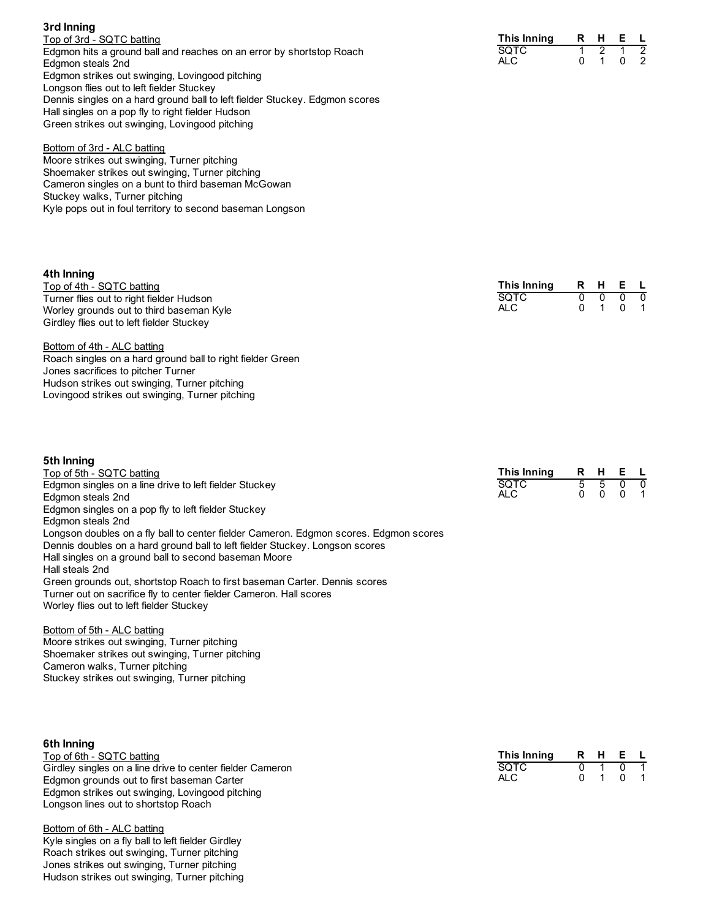| Top of 3rd - SQTC batting                                                   |
|-----------------------------------------------------------------------------|
| Edgmon hits a ground ball and reaches on an error by shortstop Roach        |
| Edgmon steals 2nd                                                           |
| Edgmon strikes out swinging, Lovingood pitching                             |
| Longson flies out to left fielder Stuckey                                   |
| Dennis singles on a hard ground ball to left fielder Stuckey. Edgmon scores |
| Hall singles on a pop fly to right fielder Hudson                           |
| Green strikes out swinging, Lovingood pitching                              |
|                                                                             |

### Bottom of 3rd - ALC batting

Moore strikes out swinging, Turner pitching Shoemaker strikes out swinging, Turner pitching Cameron singles on a bunt to third baseman McGowan Stuckey walks, Turner pitching Kyle pops out in foul territory to second baseman Longson

### **4th Inning**

**3rd Inning**

| Top of 4th - SQTC batting                 | This Inning | RHEL                     |  |
|-------------------------------------------|-------------|--------------------------|--|
| Turner flies out to right fielder Hudson  | <b>SOTC</b> | $0\quad 0\quad 0\quad 0$ |  |
| Worley grounds out to third baseman Kyle  | ALC.        | 0 1 0 1                  |  |
| Girdley flies out to left fielder Stuckey |             |                          |  |

Bottom of 4th - ALC batting Roach singles on a hard ground ball to right fielder Green Jones sacrifices to pitcher Turner Hudson strikes out swinging, Turner pitching Lovingood strikes out swinging, Turner pitching

| 5th Inning                                                                            |             |    |          |          |                  |
|---------------------------------------------------------------------------------------|-------------|----|----------|----------|------------------|
| Top of 5th - SQTC batting                                                             | This Inning | R. | - H      | E L      |                  |
| Edgmon singles on a line drive to left fielder Stuckey                                | SOTC        | 5  | 5        |          | $0\quad 0$       |
| Edgmon steals 2nd                                                                     | ALC.        | 0  | $\Omega$ | $\Omega$ | $\blacksquare$ 1 |
| Edgmon singles on a pop fly to left fielder Stuckey                                   |             |    |          |          |                  |
| Edgmon steals 2nd                                                                     |             |    |          |          |                  |
| Longson doubles on a fly ball to center fielder Cameron. Edgmon scores. Edgmon scores |             |    |          |          |                  |
| Dennis doubles on a hard ground ball to left fielder Stuckey. Longson scores          |             |    |          |          |                  |
| Hall singles on a ground ball to second baseman Moore                                 |             |    |          |          |                  |
| Hall steals 2nd                                                                       |             |    |          |          |                  |
| Green grounds out, shortstop Roach to first baseman Carter. Dennis scores             |             |    |          |          |                  |
| Turner out on sacrifice fly to center fielder Cameron. Hall scores                    |             |    |          |          |                  |
| Worley flies out to left fielder Stuckey                                              |             |    |          |          |                  |

#### Bottom of 5th - ALC batting

Moore strikes out swinging, Turner pitching Shoemaker strikes out swinging, Turner pitching Cameron walks, Turner pitching Stuckey strikes out swinging, Turner pitching

### **6th Inning**

Top of 6th - SQTC batting Girdley singles on a line drive to center fielder Cameron Edgmon grounds out to first baseman Carter Edgmon strikes out swinging, Lovingood pitching Longson lines out to shortstop Roach

Bottom of 6th - ALC batting Kyle singles on a fly ball to left fielder Girdley Roach strikes out swinging, Turner pitching Jones strikes out swinging, Turner pitching Hudson strikes out swinging, Turner pitching

| This Inning | R | н | F. |  |
|-------------|---|---|----|--|
| SQTC        |   |   |    |  |
| ALC         |   |   |    |  |